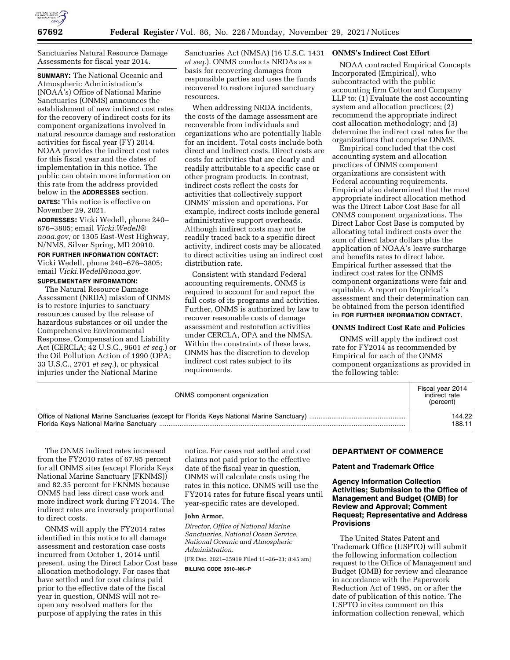

Sanctuaries Natural Resource Damage Assessments for fiscal year 2014.

**SUMMARY:** The National Oceanic and Atmospheric Administration's (NOAA's) Office of National Marine Sanctuaries (ONMS) announces the establishment of new indirect cost rates for the recovery of indirect costs for its component organizations involved in natural resource damage and restoration activities for fiscal year (FY) 2014. NOAA provides the indirect cost rates for this fiscal year and the dates of implementation in this notice. The public can obtain more information on this rate from the address provided below in the **ADDRESSES** section.

**DATES:** This notice is effective on November 29, 2021.

**ADDRESSES:** Vicki Wedell, phone 240– 676–3805; email *[Vicki.Wedell@](mailto:Vicki.Wedell@noaa.gov) [noaa.gov;](mailto:Vicki.Wedell@noaa.gov)* or 1305 East-West Highway, N/NMS, Silver Spring, MD 20910.

**FOR FURTHER INFORMATION CONTACT:**  Vicki Wedell, phone 240–676–3805; email *[Vicki.Wedell@noaa.gov.](mailto:Vicki.Wedell@noaa.gov)* 

# **SUPPLEMENTARY INFORMATION:**

The Natural Resource Damage Assessment (NRDA) mission of ONMS is to restore injuries to sanctuary resources caused by the release of hazardous substances or oil under the Comprehensive Environmental Response, Compensation and Liability Act (CERCLA; 42 U.S.C., 9601 *et seq.*) or the Oil Pollution Action of 1990 (OPA; 33 U.S.C., 2701 *et seq.*), or physical injuries under the National Marine

Sanctuaries Act (NMSA) (16 U.S.C. 1431 *et seq.*). ONMS conducts NRDAs as a basis for recovering damages from responsible parties and uses the funds recovered to restore injured sanctuary resources.

When addressing NRDA incidents, the costs of the damage assessment are recoverable from individuals and organizations who are potentially liable for an incident. Total costs include both direct and indirect costs. Direct costs are costs for activities that are clearly and readily attributable to a specific case or other program products. In contrast, indirect costs reflect the costs for activities that collectively support ONMS' mission and operations. For example, indirect costs include general administrative support overheads. Although indirect costs may not be readily traced back to a specific direct activity, indirect costs may be allocated to direct activities using an indirect cost distribution rate.

Consistent with standard Federal accounting requirements, ONMS is required to account for and report the full costs of its programs and activities. Further, ONMS is authorized by law to recover reasonable costs of damage assessment and restoration activities under CERCLA, OPA and the NMSA. Within the constraints of these laws, ONMS has the discretion to develop indirect cost rates subject to its requirements.

## **ONMS's Indirect Cost Effort**

NOAA contracted Empirical Concepts Incorporated (Empirical), who subcontracted with the public accounting firm Cotton and Company LLP to: (1) Evaluate the cost accounting system and allocation practices; (2) recommend the appropriate indirect cost allocation methodology; and (3) determine the indirect cost rates for the organizations that comprise ONMS.

Empirical concluded that the cost accounting system and allocation practices of ONMS component organizations are consistent with Federal accounting requirements. Empirical also determined that the most appropriate indirect allocation method was the Direct Labor Cost Base for all ONMS component organizations. The Direct Labor Cost Base is computed by allocating total indirect costs over the sum of direct labor dollars plus the application of NOAA's leave surcharge and benefits rates to direct labor. Empirical further assessed that the indirect cost rates for the ONMS component organizations were fair and equitable. A report on Empirical's assessment and their determination can be obtained from the person identified in **FOR FURTHER INFORMATION CONTACT**.

### **ONMS Indirect Cost Rate and Policies**

ONMS will apply the indirect cost rate for FY2014 as recommended by Empirical for each of the ONMS component organizations as provided in the following table:

| ONMS component organization | Fiscal year 2014<br>indirect rate<br>(percent) |
|-----------------------------|------------------------------------------------|
|                             | 144.22                                         |
|                             | 188.11                                         |

The ONMS indirect rates increased from the FY2010 rates of 67.95 percent for all ONMS sites (except Florida Keys National Marine Sanctuary (FKNMS)) and 82.35 percent for FKNMS because ONMS had less direct case work and more indirect work during FY2014. The indirect rates are inversely proportional to direct costs.

ONMS will apply the FY2014 rates identified in this notice to all damage assessment and restoration case costs incurred from October 1, 2014 until present, using the Direct Labor Cost base allocation methodology. For cases that have settled and for cost claims paid prior to the effective date of the fiscal year in question, ONMS will not reopen any resolved matters for the purpose of applying the rates in this

notice. For cases not settled and cost claims not paid prior to the effective date of the fiscal year in question, ONMS will calculate costs using the rates in this notice. ONMS will use the FY2014 rates for future fiscal years until year-specific rates are developed.

## **John Armor,**

*Director, Office of National Marine Sanctuaries, National Ocean Service, National Oceanic and Atmospheric Administration.*  [FR Doc. 2021–25919 Filed 11–26–21; 8:45 am]

**BILLING CODE 3510–NK–P** 

## **DEPARTMENT OF COMMERCE**

### **Patent and Trademark Office**

# **Agency Information Collection Activities; Submission to the Office of Management and Budget (OMB) for Review and Approval; Comment Request; Representative and Address Provisions**

The United States Patent and Trademark Office (USPTO) will submit the following information collection request to the Office of Management and Budget (OMB) for review and clearance in accordance with the Paperwork Reduction Act of 1995, on or after the date of publication of this notice. The USPTO invites comment on this information collection renewal, which